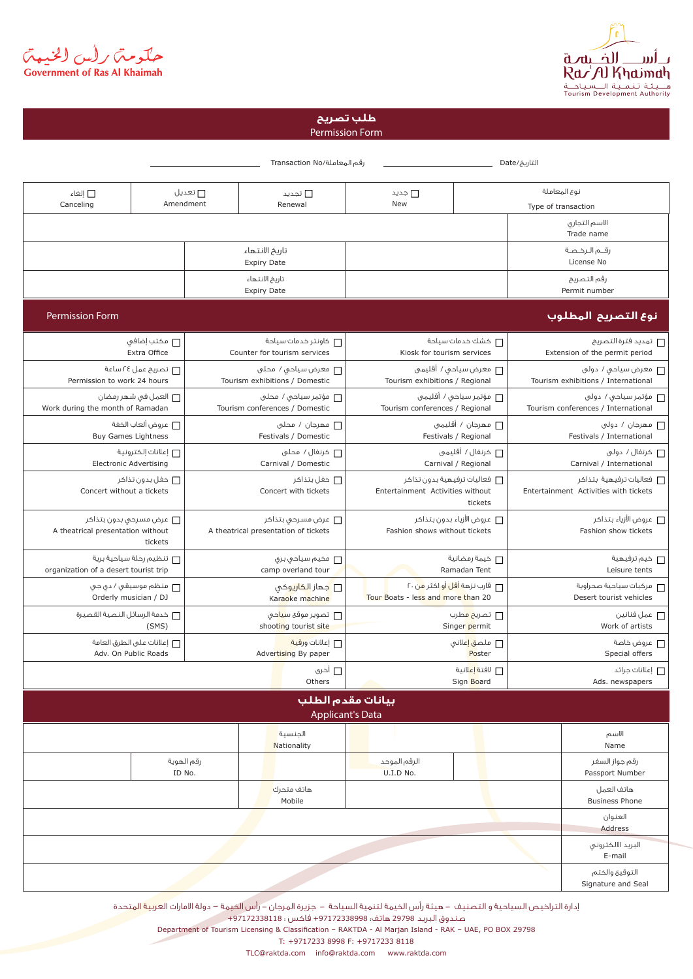

حکومتر رأس الخنبهتر<br>Government of Ras Al Khaimah

## Permission Form **طلب تصريح**

|                                       |                                                      |                      | رقم المعاملة/Transaction No                                                                                         |                                                 |                                                                   | التاريخ/Date                                                     |                                      |
|---------------------------------------|------------------------------------------------------|----------------------|---------------------------------------------------------------------------------------------------------------------|-------------------------------------------------|-------------------------------------------------------------------|------------------------------------------------------------------|--------------------------------------|
| ■ إلغاء<br>Canceling                  |                                                      | ∏ تعديل<br>Amendment | □ تجدید<br>Renewal                                                                                                  | □ جديد<br>New                                   | نوع المعاملة<br>Type of transaction                               |                                                                  |                                      |
|                                       |                                                      |                      |                                                                                                                     |                                                 |                                                                   |                                                                  | الاسم التجارى<br>Trade name          |
|                                       |                                                      |                      | تاريخ الانتهاء<br><b>Expiry Date</b>                                                                                |                                                 |                                                                   |                                                                  | رقــم الـرخـصـة<br>License No        |
|                                       |                                                      |                      | تاريخ الانتهاء<br><b>Expiry Date</b>                                                                                |                                                 |                                                                   |                                                                  | رقم التصريح<br>Permit number         |
| <b>Permission Form</b>                |                                                      |                      |                                                                                                                     |                                                 |                                                                   |                                                                  | نوع التصريح المطلوب                  |
|                                       | مكتب إضافى $\Box$<br>Extra Office                    |                      | كاونتر خدمات سياحة $\Box$<br>Counter for tourism services                                                           | □ كشك خدمات سياحة<br>Kiosk for tourism services |                                                                   | ┌ تمديد فترة التصريح<br>Extension of the permit period           |                                      |
| Permission to work 24 hours           | نصريح عمل ٢٤ ساعة $\Box$                             |                      | □ معرض سياحى / محلى<br>Tourism exhibitions / Domestic                                                               | Tourism exhibitions / Regional                  | ┌ معرض سياحى / أقليمى                                             | ┌┌ معرض سياحى / دولى<br>Tourism exhibitions / International      |                                      |
| Work during the month of Ramadan      | ┌ العمل فى شهر رمضان                                 |                      | ___ مؤتمر سياحي / محلى<br>Tourism conferences / Domestic                                                            | Tourism conferences / Regional                  | ┌┌ مؤتمر سياحى / أقليمى                                           | مؤتمر سياحى / دولى $\Box$<br>Tourism conferences / International |                                      |
|                                       | □ عروض ألعاب الخفة<br><b>Buy Games Lightness</b>     |                      | □ مھرجان / محلی<br>Festivals / Domestic                                                                             |                                                 | □ مھرجان / أقليمي<br>Festivals / Regional                         | عهرجان / دولي $\Box$<br>Festivals / International                |                                      |
|                                       | [ إعلانات إلكترونية<br><b>Electronic Advertising</b> |                      | □ كرنغال / محلى<br>Carnival / Domestic                                                                              | □ كرنغال / أقليمى<br>Carnival / Regional        |                                                                   | كرنغال / دولى $\Box$<br>Carnival / International                 |                                      |
|                                       | Concert without a tickets                            |                      | □ حفل بتذاكر<br>┌ فعاليات ترفيهية بدون تذاكر<br>Concert with tickets<br>Entertainment Activities without<br>tickets |                                                 | ∏ فعاليات ترفيهية بتذاكر<br>Entertainment Activities with tickets |                                                                  |                                      |
| A theatrical presentation without     | عرض مسرحی بدون بتذاکر $\Box$<br>tickets              |                      | □ عرض مسرحی بتذاکر<br>A theatrical presentation of tickets                                                          | Fashion shows without tickets                   | ┌ عروض الأزياء بدون بتذاكر                                        | ∏ عروض الأزياء بتذاكر<br>Fashion show tickets                    |                                      |
| organization of a desert tourist trip | تنظيم رحلة سياحية برية $\Box$                        |                      | ┌ مخيم سياحى برى<br>camp overland tour                                                                              |                                                 | □ خيمة رمضانية<br>Ramadan Tent                                    | ┌┌ خيم ترفيهية<br>Leisure tents                                  |                                      |
|                                       | عنظم موسيقى / دى جى $\Box$<br>Orderly musician / DJ  |                      | <mark>□ ج</mark> ـھاز ال <mark>کاري</mark> وکٯ<br>Karaoke machine                                                   | Tour Boats - less and more than 20              | ├   قارب نزهة أقل أو اكثر <mark>من</mark> ۲۰                      | مركبات سياحية صحراوية $\Box$<br>Desert tourist vehicles          |                                      |
| غدمة الرسائل النصية القصيرة $\Box$    | (SMS)                                                |                      | □ تصوير موقع س <mark>يا</mark> حى<br>shooting tourist site                                                          |                                                 | □ تصری <mark>ح م</mark> طرب<br>Singer permit                      | عمل فنانين $\Box$<br>Work of artists                             |                                      |
|                                       | ┌ إعلانات على الطرق العامة<br>Adv. On Public Roads   |                      | □ إعلانات ورقية<br>Advertising By paper                                                                             |                                                 | □ ملص <mark>ق إ</mark> علاني<br>Poster                            | عروض خاصة $\Box$<br>Special offers                               |                                      |
|                                       |                                                      |                      | □ أخرى<br>Others                                                                                                    |                                                 | □ لافتة <mark>إعل</mark> انية<br>Sign Board                       | علانات جرائد $\Box$<br>Ads. newspapers                           |                                      |
|                                       |                                                      |                      | بيانات مقدم الطلب<br><b>Applicant's Data</b>                                                                        |                                                 |                                                                   |                                                                  |                                      |
|                                       |                                                      |                      | الجنسية<br>Nationality                                                                                              |                                                 |                                                                   |                                                                  | الاسم<br>Name                        |
|                                       | ID No.                                               | رقم الهوية           |                                                                                                                     | الرقم الموحد<br>U.I.D No.                       |                                                                   |                                                                  | رقم جواز السغر<br>Passport Number    |
|                                       |                                                      |                      | هاتف متحرك<br>Mobile                                                                                                |                                                 |                                                                   |                                                                  | هاتف العمل<br><b>Business Phone</b>  |
|                                       |                                                      |                      |                                                                                                                     |                                                 |                                                                   |                                                                  | العنوان<br>Address                   |
|                                       |                                                      |                      |                                                                                                                     |                                                 |                                                                   |                                                                  | البريد الالكترونى<br>E-mail          |
|                                       |                                                      |                      |                                                                                                                     |                                                 |                                                                   |                                                                  | التوقيع والختم<br>Signature and Seal |

إدارة التراخيص السياحية و التصنيف - هيئة رأس الخيمة لتنمية السياحة - جزيرة المرجان - رأس الخيمة – دولة الامارات العربية المتحدة صندوق البريد 29798 هاتف: +97172338998 فاكس : +97172338118 Department of Tourism Licensing & Classification - RAKTDA - Al Marjan Island - RAK - UAE, PO BOX 29798

T: +9717233 8998 F: +9717233 8118

TLC@raktda.com info@raktda.com www.raktda.com